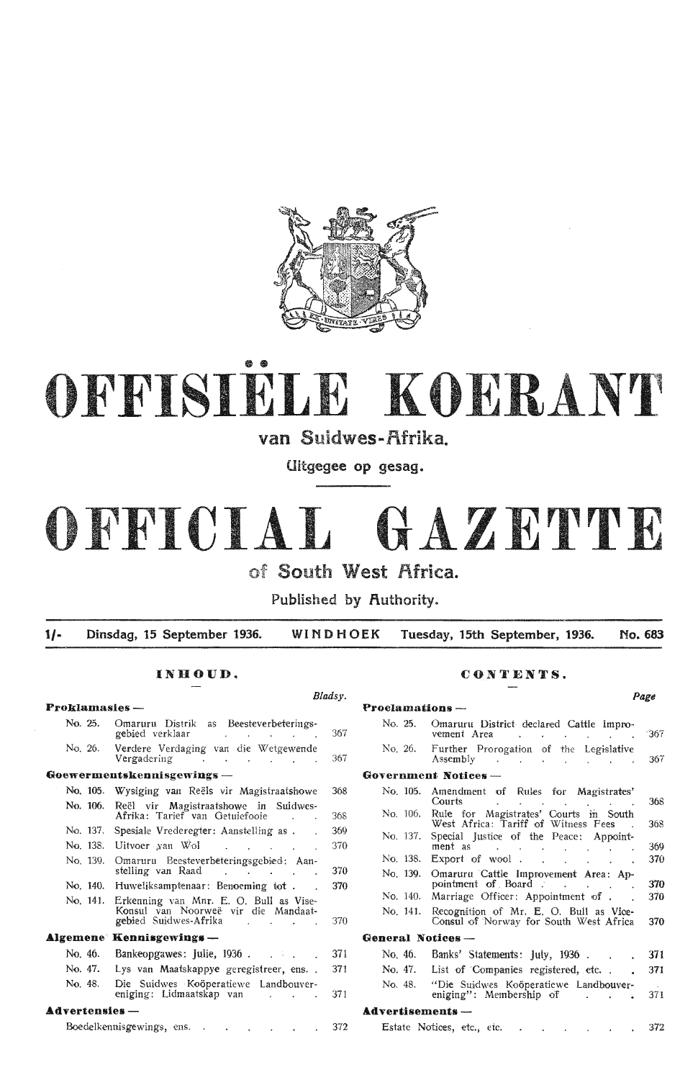

# OFFISIELE KOERANT

van Suidwes-Afrika.

Uitgegee op gesag.

# OFFICIAL **GAZETTE**

of South West Africa.

Published by Authority.

1/- Dinsdag, 15 September 1936. **WINDHOEK** Tuesday, 15th September, 1936. No. 683

| <b>Proklamasies</b> -- |                                                                                                                                                   |     | Proclamations -        |                         |
|------------------------|---------------------------------------------------------------------------------------------------------------------------------------------------|-----|------------------------|-------------------------|
| No. 25.                | Omaruru Distrik as Beesteverbeterings-<br>gebied verklaar<br>and the company of the company of                                                    | 367 | No. 25.                | Omar<br>vemer           |
| No. 26.                | Verdere Verdaging van die Wetgewende<br>Vergadering<br>and the contract of the                                                                    | 367 | No. 26.                | Furth<br>Assen          |
|                        | Goewermentskennisgewings —                                                                                                                        |     | Government No          |                         |
| No. 105.               | Wysiging van Reëls vir Magistraatshowe                                                                                                            | 368 | No. 105.               | Amen<br>Court           |
| No. 106.               | Reël vir Magistraatshowe in Suidwes-<br>Afrika: Tarief van Getuiefooie                                                                            | 368 | No. 106.               | Rule<br>West            |
| No. 137.               | Spesiale Vrederegter: Aanstelling as.                                                                                                             | 369 | No. 137.               | Specia                  |
| No. 138.               | Uitvoer van Wol (Uitvoer van Wol                                                                                                                  | 370 |                        | ment                    |
| No. 139.               | Omaruru Beesteverbeteringsgebied: Aan-                                                                                                            |     | No. 138.               | Expor                   |
|                        | stelling van Raad<br>and the state of the state of the                                                                                            | 370 | No. 139.               | Omar                    |
|                        | No. 140. Huweliksamptenaar: Benoeming tot.                                                                                                        | 370 |                        | point                   |
| No. 141.               | Erkenning van Mnr. E. O. Bull as Vise-<br>Konsul van Noorweë vir die Mandaat-<br>gebied Suidwes-Afrika<br>and the contract of the contract of the | 370 | No. 140.<br>No. 141.   | Marri<br>Recog<br>Const |
|                        | <b>Algemene</b> Kennisgewings —                                                                                                                   |     | <b>General Notices</b> |                         |
| No. 46.                | Bankeopgawes: Julie, 1936.                                                                                                                        | 371 | No. 46.                | Banks                   |
| No. 47.                | Lys van Maatskappye geregistreer, ens                                                                                                             | 371 | No. 47.                | List <sub>0</sub>       |
| No. 48.                | Die Suidwes Koöperatiewe Landbouver-<br>eniging: Lidmaatskap van<br>and the contract of the contract                                              | 371 | No. 48.                | "Die<br>enigir          |
| $Advers$ $-$           |                                                                                                                                                   |     | <b>Advertisements</b>  |                         |
|                        | Boedelkennisgewings, ens.<br>$\ddot{\phantom{a}}$                                                                                                 | 372 | Estate Notices,        |                         |

# INHOUD. CONTENTS.

|                           | Bladsy.    |                    |                                                                                                                     | Page |
|---------------------------|------------|--------------------|---------------------------------------------------------------------------------------------------------------------|------|
|                           |            | Proclamations -    |                                                                                                                     |      |
|                           | 367        | No. 25.            | Omaruru District declared Cattle Impro-<br>vement Area                                                              | 367  |
| ė<br>$\ddot{\phantom{0}}$ | 367        | No. 26.            | Further Prorogation of the Legislative<br>Assembly<br><b>Contract Contract</b>                                      | 367  |
|                           |            |                    | Government Notices-                                                                                                 |      |
| e<br>Ļ.                   | 368        | No. 105.           | Amendment of Rules for Magistrates'<br><b>Courts</b><br><b>Contract Contract Contract</b><br>$\Delta \sim 10^{-10}$ | 368  |
|                           | 368        | No. 106.           | Rule for Magistrates' Courts in South<br>West Africa: Tariff of Witness Fees                                        | 368  |
|                           | 369<br>370 | No. 137.           | Special Justice of the Peace: Appoint-<br>ment as .<br>$\sim$<br>$\sim 100$                                         | 369  |
|                           |            |                    | No. 138. Export of wool.<br><b>Carl Carl Carl</b>                                                                   | 370  |
|                           | 370<br>370 | No. 139.           | Omaruru Cattle Improvement Area: Ap-<br>pointment of Board.<br>and the company of the com-                          | 370  |
|                           |            | No. 140.           | Marriage Officer: Appointment of.                                                                                   | 370  |
|                           | 370        | No. 141.           | Recognition of Mr. E. O. Bull as Vice-<br>Consul of Norway for South West Africa                                    | 370  |
|                           |            | General Notices -- |                                                                                                                     |      |
|                           | 371        | No. 46.            | Banks' Statements: July, 1936.                                                                                      | 371  |
|                           | 371        | No. 47.            | List of Companies registered, etc                                                                                   | 371  |
| L,                        | 371        | No. 48.            | "Die Suidwes Koöperatiewe Landbouver-<br>eniging": Membership of                                                    | 371  |
|                           |            | Advertisements —   |                                                                                                                     |      |
|                           | 372        |                    | Estate Notices, etc., etc.<br>contract the second contract of                                                       | 372  |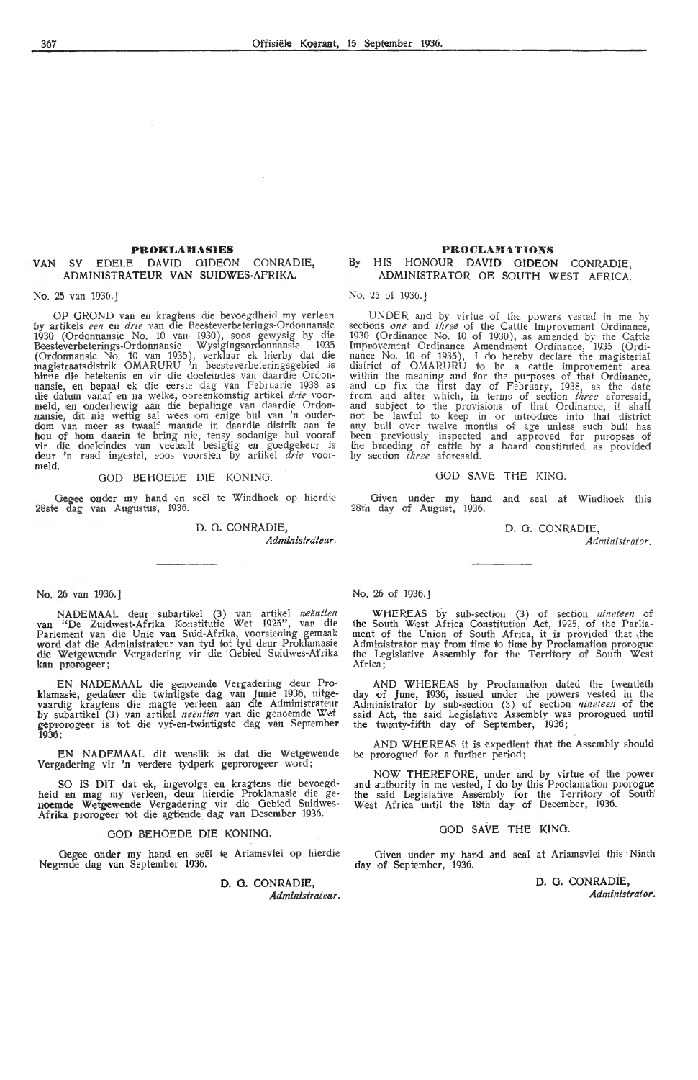# **PROKLAMASIES**

# VAN SY EDELE DAVID GIDEON CONRADIE, ADMINISTRATEUR **VAN** SUIDWES-AFRIKA.

No. 25 van 1936.]

OP GROND van en kragtens die bevoegdheid my verleen by artikels *een* en drie van die Beesteverbeterings-Ordonnansie 1930 (Ordonnansie No. 10 van 1930), soos gewysig by die Beesteverbeterings-Ordonnansie Wysigingsordonnansie 1935 (Ordonnansie No. 10 van 1935), verklaar ek hierby dat die magistraatsdistrik OMARURU 'n beesteverbeteringsgebied is binne die betekenis en vir die doeleindes van daardie Ordonnansie, en bepaal ek die eerste dag van Februarie 1938 as<br>die datum vanaf en na welke, ooreenkomstig artikel *drie* voormeld, en onderhewig aan die bepalinge van daardie Ordon-<br>nansie, dit nie wettig sal wees om enige bul van 'n ouder-<br>dom van meer as twaalf maande in daardie distrik aan te hou of hom daarin te bring nie, tensy sodanige bul vooraf vir die doeleindes van veeteelt besigtig en goedgekeur is deur 'n raad ing,estel, s·oos voorsien by artikel *drie* voormeld.

# GOD BEHOEDE DIE KONING.

Gegee onder my hand en seël te Windhoek op hierdie 28ste dag van Augustus, 1936.

D. 0. CONRADIE,

*Admmistrat.eur.* 

# No. 26 van 1936.]

NADEMAAL deur subartik,el (3) van artikel *neentien* van "De Zuidw,est-Afrika Konstitutie Wet 1925", van die Parlement van die Unie van Suid-Afrika, voorsiening gemaak<br>word dat die Administrateur van tyd tot tyd deur Proklamasie die W,etgewende Vergadering vir die Oebied Suidwes-Afrika kan prorogeer;

EN NADEMAAL die genoemde Vergadering deur Proklamasie, gedateer die twintigste dag van Junie 1936, uitgevaardig kragtens die magte verleen aan die Administrateur by subartikel (3) van artikel *neëntien* van die genoemde Wet geprorogeer is tot die vyf-en-twintigste dag van September 1936:

EN NADEMAAL dit wenslik is dat die Wetgewende Vergadering vir 'n verdere tydperk geprorogeer word;

SO IS DIT dat ek, ingevolge en kragtens die bevoegdheid en mag my verleen, deur hierdie Proklamasie die genoemde Wetgewende Vergadering vir die Oebied Suidwes-Afrika prorogeer tot die agtiende dag van Desember 1936.

## GOD BEHOEDE DIE KONING.

Gegee onder my hand en seël te Ariamsvlei op hierdie Negende dag van September 1936.

> **D. 0. CONRADIE,**  Administrateur.

# **PROCLAMATIONS** By HIS HONOUR DAVID GIDEON CONRADIE, ADMINISTRATOR OR SOUTH WEST AFRICA.

No. 25 of 1936.]

UNDER and by virtue of the powers vested in me by sections *one* and *three* of the Cattle Improvement Ordinance, 1930 (Ordinance No. 10 of 1930), as amended by the Cattle Improvement Ordinance Amendment Ordinance, 1935 (Ordinance No. 10 of 1935), I do hereby declare the magisterial<br>district of OMARURU to be a cattle improvement area within the meaning and for the purposes of that Ordinance, and do fix the first day of February, 1938, as the date from and after which , in terms of section *three* aforesaid, and subject to the provisions of that Ordinance, it shall not be lawful to keep in or intmducc into that district any bull over twelve months of age unless such bull has been previously inspected and approved for puropses of the breeding of cattle by a board constituted as provided by section *three* aforesaid.

### GOD SAVE THE KING.

Given m1der my hand and seal at Windhoek this 28th day of August, 1936.

D. 0. CONRADIE,

*Administrator.* 

No. 26 of 1936.]

WHEREAS by sub-section (3) of section *nineteen* of the South West Africa Constitution Act, 1925, of the Parliament of the Union of South Africa, it is provided that the Administrator may from time to time by Proclamation prorogue the Legislative Assembly for the Territory of South West Africa ;

AND WHEREAS by Proclamation dated the twentieth day of June, 1936, issued under the powers vested in the Administrator by sub-section (3) of section *nineteen* of the said Act, the said Legislative Assembly was prorogued until the twenty-fifth day of September, 1936;

AND WHEREAS it is expedient that the Assembly should be prorogued for a further period;

NOW THEREFORE, under and by virtue of the power and authority in me vested, I do by this Proclamation prorogue the said Legislative Assembly for the Territory of South' West Africa until the 18th day of December, 1936.

# GOD **SAVE THE KING.**

Given under my hand and seal at Ariamsvlei this Ninth day of September, 1936.

> D. 0. CONRADIE, *Administrator.*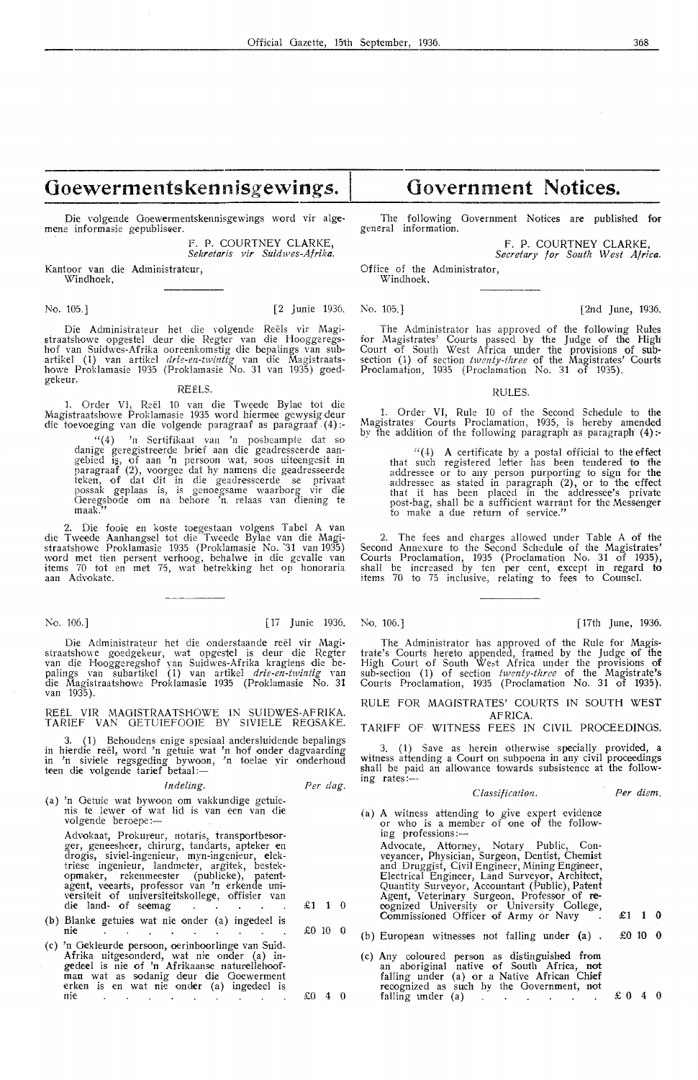# **Goewermentskennisgewings.** I

Die volgende Goewermentskennisgewings word vir alge- mene informasie gepubliseer.

F. P. COURTNEY CLARKE, *Sekretaris vir Suidwes-Afrika.* 

Kantoor van die Administrateur, Windhoek,

Die Administrateur het die volgende Reels vir Magistraatshowe opgestel deur die Regter van die Hooggeregshof van Suidwes-Afrika ooreenkomstig die bepalings van subartikel ( 1) van artikel *drie-en-twintig* van die Magistraatshowe Proklamasie 1935 (Proklamasie No. 31 van 1935) goedgekeur. REELS.

1. Order VI, Reël 10 van die Tweede Bylae tot die MagistraatshO\ve Proklamasie 1935 word hiermee gewysig deur die toevoeging van die volgende paragraaf as paragraaf (4) :-

"( 4) 'n Sertifikaat van 'n posbeampte dat so danige geregistreerde brief aan die geadresseerde aan- gebied i~, of aan 'n persoon wat, soos uiteengesit in paragraaf (2), voorgee dat hy namens die geadresseerde<br>teken, of dat dit in die geadresseerde se privaat possak geplaas is, is genoegsame waarborg vir die Oeregsbode om na behore 'n. relaas van diening te maak."

2. Die fooie en koste toegestaan volgens Tabel A van die Tweede Aanhangsel tot die Tweede Bylae van die Magistraatshowe Proklamasie 1935 (Proklamasie No. 31 van 1935) word met tien persent verhoog, behalwe in die gevalle van items 70 tot en met 75, wat betrekking het op honoraria<br>aan Advokate.

Die Administrateur het die onderstaande reel vir Magistraatshowe goedgekeur, wat opgestel is deur die Regter<br>van die Hooggeregshof yan Suidwes-Afrika kragtens die bepalings van subartikel ( 1) van artikel *drie-en-twintig* van die Magistraatshowe Proklamasie 1935 (Proklamasie No. **<sup>31</sup>** van 1935).

REEL VIR MAGISTRAA TSHOWE IN SUIDWES-AFRIKA. TARIEF VAN GETUIEFOO!E BY SIVIELE REGSAKE.

3. (1) Behoudens enige spesiaal andersluidende bepalings in hierclie reel, word 'n getuie wat 'n hof onder dagvaarding in 'n siviele regsgeding bywoon, 'n toelae vir onderhoud<br>teen die volgende tarief betaal:—

### *lndeling.*

*Per dag.* 

£1 1 0

£0 10 0

 $£0 4 0$ 

(a) 'n Oetuie wat bywoon om vakkundige getuienis te !ewer of wat lid is van een van die volgende beroepe :-

Advokaat, Prokureur, notaris, transportbesorger, geneesheer, chirurg, tandarts, apteker en<br>drogis, siviel-ingenieur, myn-ingenieur, elektriese ingenieur, landmeter, argitek, bestekopmaker, rekenmeester (publieke), patentagent, veearts, professor van 'n erkende universiteit of universiteitskollege, offisier van<br>die land- of seemag

- (b) Blanke getuies wat nie onder (a) ingedeel is nie  $\sim$
- (c) 'n Gekleurde persoon, oerinboorlinge van Suid. Afrika uitgesonderd, wat nie onder (a) ingedeel is nie of 'n Afrikaanse naturellehoof-<br>man wat as sodanig deur die Goewerment erken is en wat nie onder (a) ingedeel is nie

# **Government Notices.**

The following Government Notices are published for general information.

> F. P. COURTNEY CLARKE, Secretary for South West Africa.

Office of the Administrator, Windhoek.

No. 105.] [2 Junie 1936. No. 105.] [2nd June, 1936.

The Administrator has approved of the following Rules for Magistrates' Courts passed by the Judge of the High Court of South West Africa under the provisions of sub• section (1) of section *twenty-three* of the Magistrates' Courts Proclamation, 1935 (Proclamation No. 31 of 1935).

RULES.

1. Order VI, Rule 10 of the Second Schedule to the Magistrates· Courts Proclamation, 1935, is hereby amended by the addition of the following paragraph as paragraph  $(4)$  :-

 $(4)$  A certificate by a postal official to the effect that such registered letter has been tendered to the addressee or to any person purporting to sign for the addressee as stated in paragraph  $(2)$ , or to the effect that it has been placed in the addressee's private post-bag, shall be a sufficient warrant for the Messenger to make a due return of service."

2. The fees and charges allowed under Table A of the Second Annexure to the Second Schedule of the Magistrates' Courts Proclamation, 1935 (Proclamation No. 31 of 1935), shall be increased by ten per cent, except in regard **to**  items 70 to 75 inclusive, relating to fees to Counsel'.

No. 106.] [17 Junie 1936. No. 106.] [17th June, 1936.

The Administrator has approved of the Rule for Magistrate's Courts hereto appended, framed by the Judge of the High Court of South West Africa under the provisions of sub-section ( 1) of section *twenty-three* of the Magistrate's Courts Proclamation, 1935 (Proclamation No. 31 of 1935).

RULE FOR MAGISTRATES' COURTS IN SOUTH WEST AFRICA.

TARIFF OF WITNESS FEES IN CIVIL PROCEEDINGS.

3. (1) Save as herein otherwise specially provided, a witness attending a Court on subpoena in any civil proceedings shall be paid an allowance towards subsistence at the following rates:-

*Per diem.* 

- ( a) A witness attending to give expert evidence or who is a member of one of the following professions:-Advocate, Attorney, Notary Public, Conveyancer, Physician, Surgeon, Dentist, Chemist and Druggist, Civil Engineer, Mining Engineer, Electrical Engineer, Land Surveyor, Architect, Quantity Surveyor, Accountant (Public), Patent Agent, Veterinary Surgeon, Professor of re- cognized University or University College, Commissioned Officer of Army or Navy  $\leq$  £1 1 0 (b) European witnesses not falling under (a) . £0 10 0
	- (c) Any coloured person as distinguished from ari aboriginal native of South Africa, not falling under (a) or a Native African Chief recognized as such by the Government, not falling under (a)  $\therefore$   $\therefore$   $\therefore$   $\therefore$   $\therefore$   $\therefore$   $\therefore$   $\therefore$   $\therefore$   $\therefore$   $\therefore$   $\therefore$   $\therefore$   $\therefore$   $\therefore$   $\therefore$   $\therefore$   $\therefore$   $\therefore$   $\therefore$   $\therefore$   $\therefore$   $\therefore$   $\therefore$   $\therefore$   $\therefore$   $\therefore$   $\therefore$   $\therefore$   $\therefore$   $\therefore$   $\therefore$   $\therefore$   $\therefore$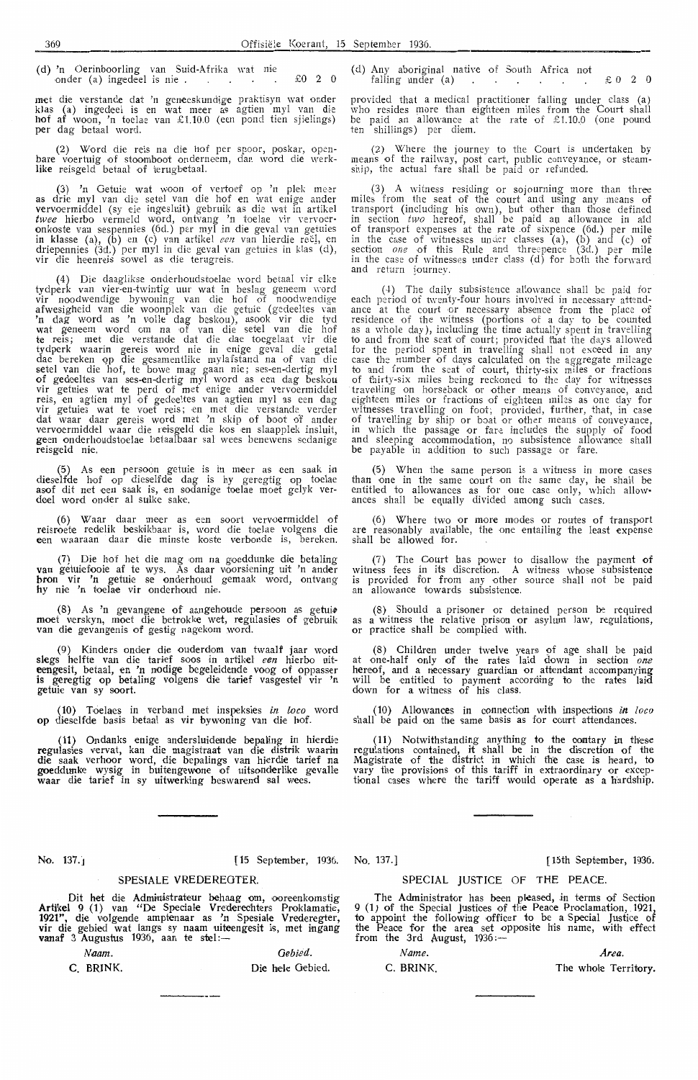(d) 'n Oerinboorling van Suid-Afrika wat nie onder (a) ingedeel is nie .  $\therefore$   $\therefore$   $\therefore$   $\therefore$   $\therefore$   $\therefore$   $\therefore$   $\therefore$   $\therefore$   $\therefore$   $\therefore$   $\therefore$   $\therefore$   $\therefore$   $\therefore$   $\therefore$   $\therefore$   $\therefore$   $\therefore$   $\therefore$   $\therefore$   $\therefore$   $\therefore$   $\therefore$   $\therefore$   $\therefore$   $\therefore$   $\therefore$   $\therefore$   $\therefore$   $\therefore$   $\therefore$ 

met die verstande dat 'n geneeskundige praktisyn wat onder klas (a) ingedeel is en wat meer as agtien myl van die<br>**hof af** woon, 'n toelae van £1.10.0 (een pond tien sjielings) per dag betaal word.

(2) Word die reis na die hof per spoo r, poskar, open-bare voertuig of stoomboot onderneem, dan word die werk- **like** reisgeld betaal of terugbetaal.

(3) 'n Getuie wat woon of vertoef op 'n plek meer<br>as drie myl van die setel van die hof en wat enige ander vervoermiddel (sy eie ingesluit) gebruik as die wat in artikel *twee* hierbo vermeld word, ontvang 'n toelae vir vervoer-<br>onkoste van sespennies (6d.) per myl in die geval van getuies **in klasse (a), (b)** en (c) van artikel *een* van hierdie reë<u>l,</u> en<br>driepennies (3d.) per myl in die geval van getuies in klas (d), vir die heenreis sowel as die terugreis.

(4) Die daaglikse onderhoudstoelae word betaal vir elke tydperk van vier-en-twintig uur wat in beslag geneem word vir noodwendige bywoning van die hof of noodwendige afwesigheid van die woonplek van die getuie (gedeeltes van<br>'n dag word as 'n volle dag beskou), asook vir die tyd wat geneem word om na of van die setel van die hof te reis; met die verstande dat die dae toegelaat vir die tydperk waarin g,ereis word nie in enige geval die getal dae bereken op die gesamentlike mylafstand na of van die<br>setel van die hof, te bowe mag gaan nie; ses-en-dertig myl of gedeeltes van ses-en-dertig myl word as een dag beskou<br>vir getuies wat te perd of met enige ander vervoermiddel reis, en agtien myl of gedeeltes van agtien myl as een dag vir getuies wat te voet reis; en met die verstande verder<br>dat waar daar gereis word met 'n skip of boot of ander vervoermiddel waar die reisgeld die kos en slaapplek insluit, geen onderhoudstoelae betaalbaar sal wees benewens sodanige reisgeld nie.

(5) As een persoon getuie is in meer as een saak in<br>dieselfde hof op dieselfde dag is hy geregtig op toelae asof dit net een saak is, en sodanige toelae moet gelyk ver-<br>deel word onder al sulke sake.

(6) Waar daar meer as een soort vervoermiddel of reisroete redelik beskikbaar is, word die toelae volgens die<br>een waaraan daar die minste koste verbonde is, bereken.

(7) Die hof het die mag om na goeddunke die betaling van getuiefooie af te wys. As daar voorsiening uit 'n ander **bron vir 'n getuie se onderhoud gemaak word, ontvang** hy nie 'n toelae vir onderhoud nie.

(8) As 'n gevangene of aangehoude persoon as getuie moet verskyn, moet die betrokke wet, regulasies of gebruik<br>van die gevangenis of gestig nagekom .word.

(9) Kinders onder die ouderdom van twaalf jaar word slegs helfte van die tarief soos in artikel *een* hierbo uiteengesit, betaal, en 'n nodige begdeidende voog of oppasser is geregtig op betaling volgens die tarief vasgestel vir 'n **getuie van sy soort.** 

(10) Toelaes in verband met inspeksies in loco word op dieseHde basis betaal as vir bywoning van die hof.

(11) Ondanks enige andersluidende bepaling in hierdie **regulasies vervat, kan die magistraat van die distrik waarin**  die saak verhoor word, die bepalings van hierdie tarief na<br>**goe**ddunke wysig in buitengewone of uitsond**e**rlike gevalle<br>waar die tarief in sy uitwerking beswarend sal wees.

Dit het die Administrateur behaag om, ooreenkomstig Artikel 9 (1) van "De Speciale Vrederechters Proklamatie, 1921", die volgende amptenaar as 'n Spesiale Vrederegter, vir die gebied wat langs sy naam uiteengesit is, met ingang<br><mark>va</mark>naf 3 Augustus 1936, aan te stel:—

SPESIALE VREDEREOTER.

*Naam.* Oebied. C. BRINK. **Die** hele Gebied. ( d) Any aboriginal native of South Africa not falling under (a)  $\cdots$   $\cdots$   $\therefore$   $\uparrow$  0 2 0

provided that a medical practitioner falling under class (a) who resides more than eighteen miles from the Court shall be paid an allowance at the rate of £ 1.10.0 (one pound ten shillings) per diem.

(2) Where the journey to the Court is undertaken by means of the railway, post cart, public conveyance, or steamship, the actual fare shall be paid or refunded.

(3) A witness residing or sojourning more than three miles from the seat of the court and using any means of transport (including his own), but other than those defined in section two hereof, shall be paid au allowance in a1d of trans port expenses at the rate .of sixpence (6d.) per mile in the case of witnesses under classes (a), (b) and (c) of<br>section *one* of this Rule and threepence (3d.) per mile in the case of witnesses under class (d) for both the forward and return journey.

(4) The daily subsistence allowance shall be paid for each period of twenty-four hours involved in necessary attendeach period of twenty-four hours involved in necessary attend-<br>ance at the court or necessary absence from the place of<br>residence of the witness (portions of a day to be counted<br>as a whole day), including the time actually to and from the seat of court; provided that the days allowed for the period spent in travelling shall not exceed in any<br>case the number of days calculated on the aggregate mileage to and from the seat of court, thirty-six miles or fractions of thirty-six miles being reckoned to the day for witnesses travelling on horseback or other means of conveyance, and<br>eighteen miles or fractions of eighteen miles as one day for witnesses travelling on foot; provided, further, that, in case<br>of travelling by ship or boat or other means of conveyance, in which the passage or fare includes the supply of food and sleeping accommodation, no subsistence allowance shall be payable in addition to such passage or fare.

(5) When the same person is a witness in more cases than one in the same court on the same day, he shall be entitled to allowances as for one case only, which allow• ances shall be equally divided among such cases.

(6) Where two or more modes or routes of transport are reasonably available, the one entailing the least expense shall be allowed for.

(7) The Court has power to disallow the payment of witness fees in its discretion. A witness whose subsistence is provided for from any other source shall not be paid<br>an allowance towards subsistence.

(8) Should a prisoner or detained person be required as a witness the relative prison or asylum law, regulations, or practice shall be complied with.

(8) Children under twelve years of age shall be paid at one-half only of the rates laid down in section *one* hereof, and a necessary guardian or attendant accompanying will be entitled to payment according fo the rates laid down for a witness of his class.

(10) Allowances in connection with inspections *in loco*  shall be paid on the same basis as for court attendances.

( **11)** Notwithstanding anything to the oontary *in* these regulations contained, it shall be in the discretion of the Magistrate of the district in which the case is heard, to vary the provisions of this tariff in extraordinary or exceptional cases where the tariff would operate as a hardship.

No. 137.J [15 September, 1936. No. 137.] [ 15th September, 1936.

# SPECIAL JUSTICE OF THE PEACE.

The Administrator has been pleased, in terms of Section 9 (1) of the Special Justices of the Peace Proclamation, 1921, to appoint the following officer to be a Special Justice of the Peace for the area set opposite his name, with effect<br>from the 3rd August, 1936:—

*Name. Area.* 

C. BRINK. The whole Territory.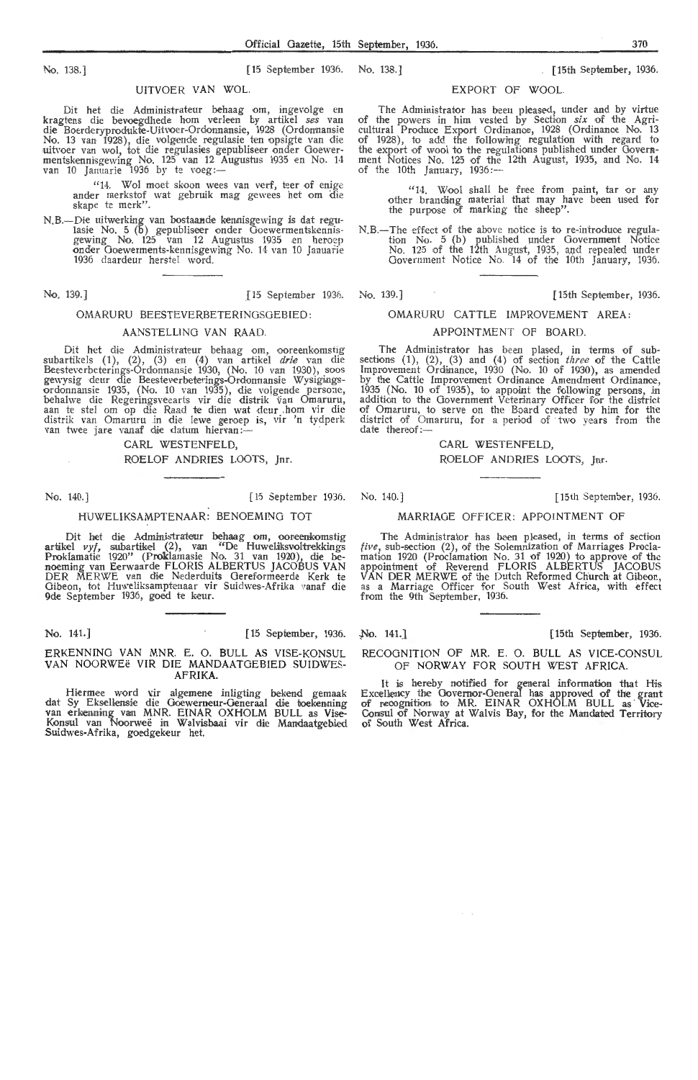No. 138.] [15 September 1936. No. 138. J [ 15th September, 1936.

# UITVOER VAN WOL.

Dit het die Administrateur behaag om, ingevolge en<br>kragtens die bevoegdhede hom verleen by artikel *ses* van<br>die Boerderyprodukte-Uitvoer-Ordonnansie, 1928 (Ordonnansie No. 13 van 1928), die volgende regulasie ten opsigte van die<br>uitvoer van wol, tot die regulasies gepubliseer onder Goewermentskennisgewing No. 125 van 12 Augustus 1935 en No. 14<br>van 10 Januarie 1936 by te voeg:—

> "14. Wol moet skoon wees van verf, teer of enige antler merkstof wat gebruik mag gewees het om die skape te merk".

N.B.-Die uitwerking van bostaande kennisgewing is dat regu-<br>lasie No. 5 (b) gepubliseer onder Goewermentskennis-<br>gewing No. 125 van 12 Augustus 1935 en heroep onder Goewerments-kennisgewing No. 14 van 10 Januarie 1936 daardeur herstel word.

# OMARURU BEESTEVERBETERINOSOEBIED:

# AANSTELLINO VAN RAAD.

Dit het die Administrateur behaag om, ooreenkomstig subartikels (1), (2), (3) en (4) van artikel *drie* van die<br>Beesteverbeterings-Ordonnansie 1930, (No. 10 van 1930), soos<br>gewysig deur die Beesteverbeterings-Ordonnansie Wysigings-<br>ordonnansie 1935, (No. 10 van 1935), die v behalwe die Regeringsveearts vir die distrik van Omaruru,<br>aan te stel om op die Raad te dien wat deur ,hom vir die distrik van Omaruru in die lewe geroep is, vir 'n tydperk<br>van twee jare vanaf die datum hiervan:---

CARL WESTENFELD,

ROELOF ANDRIES LOOTS, Inr.

### No. 140.] [ 15 Septembe r 1936. No. 140.] [15th September, 1936.

### HUWELIKSAMPTENAAR: BENOEMINO TOT

Dit het die Administrateur behaag om, ooreenkomstig artikel  $vyf$ , subartikel (2), van "De Huweliksvoltrekkings Proklamatie 1920" (Proklamasie No. 31 van 1920), die benoeming van Eerwaarde FLORIS ALBERTUS JACOBUS VAN DER MERWE van die Nederduits Gereformeerde Kerk te Oibeon, tot Huweliksamptenaar vir Suidwes-Afrika vanaf die 9de September 1936, goed te keur.

## No. 141.] [ 15 September, 1936.

ERKENNINO VAN MNR. E. 0. BULL AS VISE-KONSUL VAN NOORWEe VIR DIE MANDAATGEBIED SUIDWES-**AFRIKA.** 

Hiermee word vir algemene inligting bekend gemaak dat Sy Eksellensie die Goewerneur-Generaal die toekenning<br>van erkenning van MNR. EINAR OXHOLM BULL as Vise-Konsul van Noorweë in Walvisbaai vir die Mandaatgebied Suidwes-Afrika, goedgekeur het.

### EXPORT OF WOOL.

The Administrator has been pleased, under and by virtue of the powers in him vested by Section *six* of the Agri-cultural Produce Export Ordinance, 1928 (Ordinance No. 13 of 1928), to add the following regulation with regard to the export of wool to the regulations published under Government Notices No. 125 of the 12th August, 1935, and No. 14 of the 10th January, 1936 :---

"14. Wool shall be free from paint, tar or any other branding material that may have been used for the purpose of marking the sheep".

N.B.-The effect of the above notice is to re-introduce regulation No. 5 (b) published under Government Notice<br>No. 125 of the 12th August, 1935, and repealed under<br>Government Notice No. 14 of the 10th January, 1936.

# No. 139.] [15 September 1936. No. 139.] [15th September, 1936.

# OMARURU CATTLE IMPROVEMENT AREA: APPOINTMENT OF BOARD.

The Administrator has been plased, in terms of sub-sections  $(1)$ ,  $(2)$ ,  $(3)$  and  $(4)$  of section three of the Cattle Improvement Ordinance, 1930 (No. 10 of 1930), as amended by the Cattie Improvement Ordinance Amendment Ordinanoe, 1935 (No. 10 of 1935), to appoint the following persons, in addition to the Government Veterinary Officer for the district of Omaruru, to serve on the Board created by him for the district of Omaruru, for a period of two years from the date thereof:-

CARL WESTENFELD,

ROELOF ANDRIES LOOTS, Jnr.

# MARRIAGE OFFICER: APPOINTMENT OF

The Administrator has been pleased, in terms of section *five*, sub-section  $(2)$ , of the Solemnization of Marriages Proclamation 1920 (Proclamation No. 31 of 1920) to approve of the appotntment of Reverend FLORIS ALBERTUS JACOBUS VAN DER MERWE of the Dutch Reformed Church at Giheon, as a Marriage Officer for South W-est Africa, with effect from the 9th September, 1936.

~o. 141.J [15th Sepilember, 1936.

RECOGNITION OF MR. E. 0. BULL AS VICE-CONSUL OF NORWAY FOR SOUTH WEST AFRICA

It is hereby notified for general information that His<br>Excellency the Governor-Oeneral has approved of the grant of recognition to MR. EINAR OXHOLM BULL as Vice-Consul of Norway at Walvis Bay, for the Mandated Territory of South West Africa.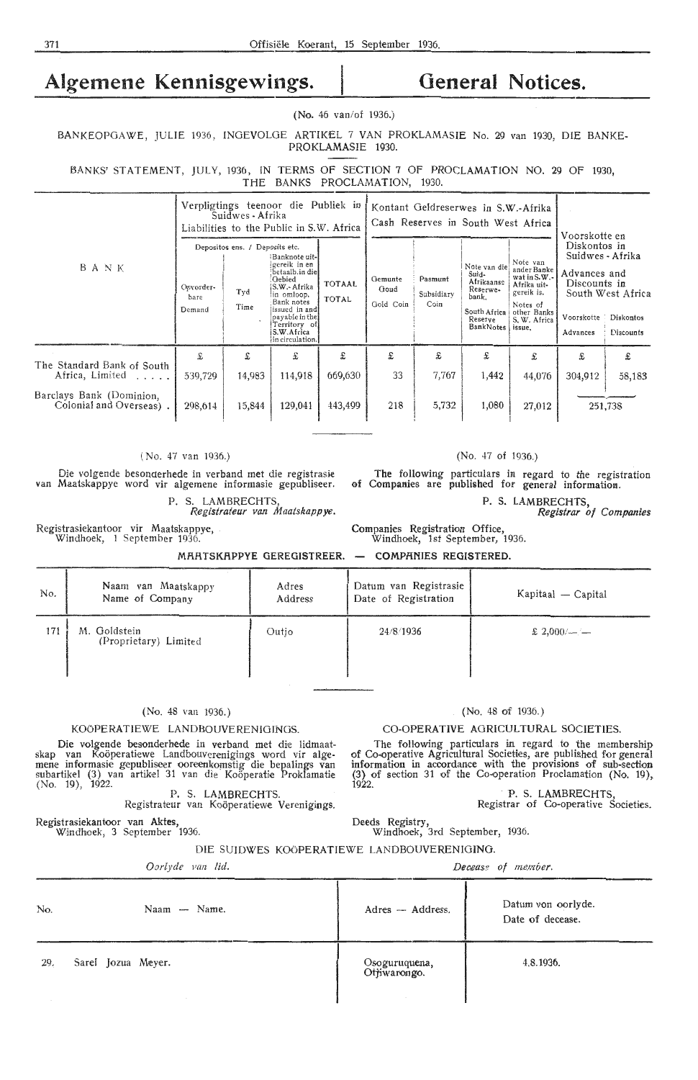# Algemene Kennisgewings. | General Notices.

# **(No.** 46 van/of 1936.)

BANKEOPGAWE, JULIE 1936, INGEVOLGE ARTIKEL 7 VAN PROKLAMASIE No. 29 van 1930, DIE BANKE-PROKLAMASIE 1930.

BANKS' STATEMENT, JULY, 1936, IN TERMS OF SECTION 7 OF PROCLAMATION NO. 29 OF 1930, THE BANKS PROCLAMATION, 1930.

| BANK                                                | Verpligtings teenoor die Publiek in<br>Suidwes - Afrika<br>Liabilities to the Public in S.W. Africa |                                               |                                                                                                                                                                                            |                               | Kontant Geldreserwes in S.W.-Afrika<br>Cash Reserves in South West Africa |                               |                                                                                                           |                                                                                                                    | Voorskotte en                                                                              |                                                    |
|-----------------------------------------------------|-----------------------------------------------------------------------------------------------------|-----------------------------------------------|--------------------------------------------------------------------------------------------------------------------------------------------------------------------------------------------|-------------------------------|---------------------------------------------------------------------------|-------------------------------|-----------------------------------------------------------------------------------------------------------|--------------------------------------------------------------------------------------------------------------------|--------------------------------------------------------------------------------------------|----------------------------------------------------|
|                                                     | Opvorder-<br>bare<br>Demand                                                                         | Depositos ens. / Deposits etc.<br>Tyd<br>Time | Banknote uit-<br>gereik in en<br>betaalb.in diel<br>Gebied<br>S.W.- Afrika<br>in omloop.<br>Bank notes<br>issued in and<br>payable in the<br>Territory of<br>S.W.Africa<br>in circulation. | <b>TOTAAL</b><br><b>TOTAL</b> | Gemunte<br>Goud<br>Gold Coin                                              | Pasmunt<br>Subsidiary<br>Coin | Note van die<br>Suid-<br>Afrikaanse<br>Reserwe-<br>bank.<br>South Africa<br>Reserve<br>BankNotes   issue, | Note van<br>ander Banke<br>wat in $S.W.$ -<br>Afrika uit-<br>gereik is.<br>Notes of<br>other Banks<br>S. W. Africa | Diskontos in<br>Suidwes - Afrika<br>Advances and<br>Discounts in<br>Voorskotte<br>Advances | South West Africa<br>Diskontos<br><b>Discounts</b> |
| The Standard Bank of South<br>Africa, Limited       | £<br>539,729                                                                                        | £<br>14,983                                   | £<br>114,918                                                                                                                                                                               | £<br>669,630                  | £<br>33                                                                   | £<br>7,767                    | £<br>1,442                                                                                                | £<br>44,076                                                                                                        | £<br>304,912                                                                               | £<br>58,183                                        |
| Barclays Bank (Dominion,<br>Colonial and Overseas). | 298,614                                                                                             | 15,844                                        | 129,041                                                                                                                                                                                    | 443,499                       | 218                                                                       | 5,732                         | 1,080                                                                                                     | 27,012                                                                                                             |                                                                                            | 251,738                                            |

### ( No. 47 van 1936.)

Die volgende besoncterhede in verband met die registrasie van Maatskappye word vir algemene informasie gepubliseer.

P. S. LAMBRECHTS *Registrateur van Maatskappye.* 

Registrasiekantoor vir Maatskappye, Windhoek, 1 September 1936.

MAATSKAPPYE GEREGISTREER. — COMPANIES REGISTERED.

| No. | Naam van Maatskappy<br>Name of Company | Adres<br>Address | Datum van Registrasie<br>Date of Registration | Kapitaal — Capital |
|-----|----------------------------------------|------------------|-----------------------------------------------|--------------------|
| 171 | M. Goldstein<br>(Proprietary) Limited  | Outjo            | 24/8/1936                                     | $£ 2,000/$ - -     |

# (No. 48 van 1936. )

# KOÖPERATIEWE LANDBOUVERENIGINGS.

Die volgende besonderhede in verband met die lidmaat-<br>skap van Koöperatiewe Landbouverenigings word vir alge-<br>mene informasie gepubliseer ooreenkomstig die bepalings van<br>subartikel (3) van artikel 31 van die Koöperatie Pro (No. 19), 1922. **P.** S. **LAMBRECHTS.** 

P. S. LAMBRECHTS.<br>Registrateur van Koöperatiewe Verenigings.

Registrasiekantoor **van Aktes,**  Windhoek, 3 September 1936.

# (No. 48 of 1936.)

### CO-OPERATIVE AGRICULTURAL SOCIETIES.

The following particulars in regard to the membership of Co-operative Agricultural Societies, are published for general information in accordance with the provisions of sub-section (3) of section 31 of the Go-operation Proclamation (No. 19), **1922.** 

> **P.** S. **LAMBRECHTS,**  Registrar of Co•operative Societies.

**Deeds** Registry,

Windhoek, 3rd September, 1936.

Companies Registration Office, Windhoek, 1st September, 1936.

## DIE SUIDWES KO6PERATIEWE LANDBOUVERENIGING.

*Oarlyde* Fan *lid.* 

*Dec,aas.g of member.* 

| No. | Naam - Name.       | Adres - Address.                           | Datum von oorlyde.<br>Date of decease. |
|-----|--------------------|--------------------------------------------|----------------------------------------|
| 29. | Sarel Jozua Meyer. | Osoguruquena,<br>Ot <del>j</del> iwarongo. | 4.8.1936.                              |

(No. 47 of 1936.)

The following particulars in regard to the registration of Companies are published for general information.

P. S. LAMBRECHTS,

*Registrar of Companies*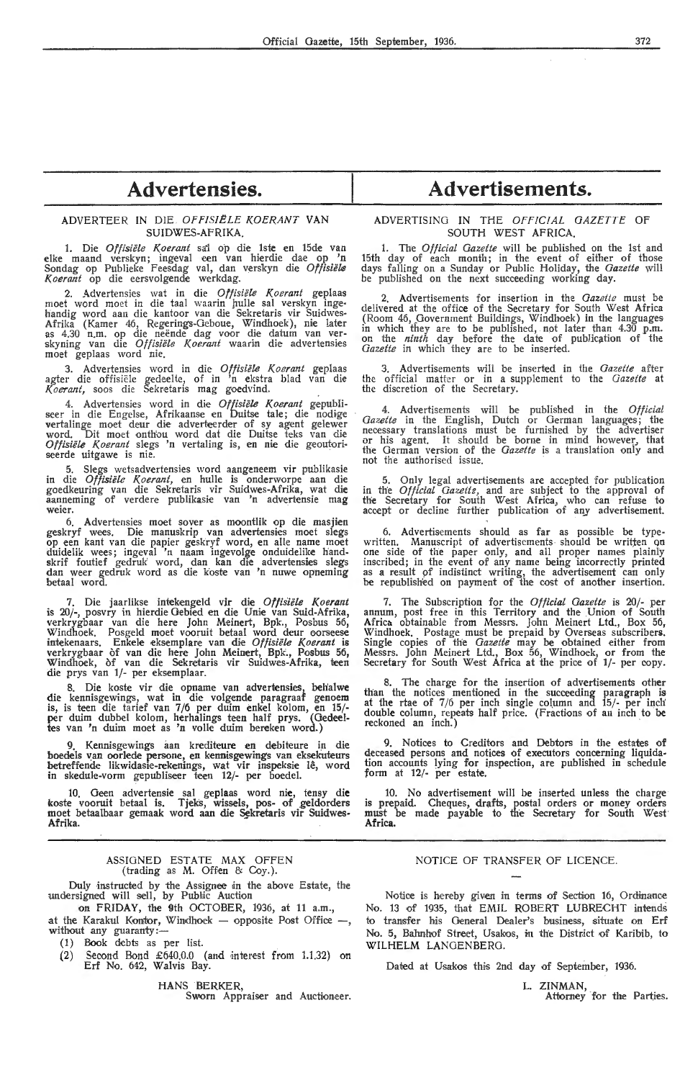# **Advertensies.**

# ADVERTEER IN DIE *OPPIS!ELE KOER.ANT* **VAN**  SUIDWES-AFRIKA.

1. Die *Offisiële Koerant* sai op die 1ste en 15de van elke maand verskyn; ingeval een van hierdie dae op 'n Sondag op Publieke Feesdag val, dan verskyn die *Offisiële* Koerant op die eersvolgende werkdag.

2. Advertensies wat in die *Otfisiele Koerant* geplaas moet word moet in die taal waarin hulle sal verskyn ingehandig word aan die kantoor van die Sekretaris vir Suidwes• Afrika (Kamer 46, Regerings-Geboue, Windhoek), nie later<br>as 4.30 n.m. op die neënde dag voor die datum van ver-<br>skyning van die *Offisiële Koerant* waarin die advertensies<br>moet geplaas word nie.

3. Advertensies word in die *Offisiiile Koerant* geplaas agter die offisiële gedeelte, of in 'n ekstra blad van die K. *oerant,* soos die Sehetaris mag goedvind.

4. Advertensies word in die *Offisiële Koerant* gepubli- seer in die Engelse, Afrikaanse en Duitse tale; die nodige vertalinge moet deur die adverteerder of sy agent gelewer word. Dit moet onthou word dat die Duitse teks van die Offisiële Koerant slegs 'n vertaling is, en nie die geoutoriseerde uitgawe is nie.

5. Slegs wetsadvertensies word aangeneem vir publikasie in die *Offisiele l(oerant,* en hulle is onderworpe aan die goedkeuring van die Sekretaris vir Suidwes-Afrika, wat die aanneming of verdere publikasie van 'n advertensie mag weier.

6. Advertensies moet sover as moontlik op die masjien geskryf wees. Die manuskrip van advertensies moet slegs op een kant van die papier geskryf word, en alle name moet duidelik wees; ingeval 'n naam ingevolge onduidelike handskrif foutief gedruk word, dan kan die advertensies slegs dan weer gedruk word as die koste van 'n nuwe opneming betaal word.

7. Die jaarlikse intekengeld vir die Offisiële Koerant is 20/-, posvry in hierdie Gebied en die Unie van Suid-Afrika, verkrygbaar van die here John Meinert, Bpk., Posbus 56, Windhoek. Posgeld moet vooruit betaal word deur oorseese intekenaars. Enkele eksemplare van die Offisiële Koerant is verkrygbaar of van die here John Meinert, Bpk., Posbus 56, Windhoek, of van die Sekretaris vir Suidwes-Afrika, teen die prys van 1/- per eksemplaar.

8. Die koste vir die opname van advertensies, beh'alwe die kennisgewings, wat in die volgende paragraaf genoem is, is teen die tarief van 7/6 per duim enkel kolom, en 15/ per duim dubbel kolom, herhalings teen half prys. (Oedeeltes van 'n duim moet as 'n volle duim bereken word.)

Kennisgewings aan krediteure en debiteure in boedels van oorlede persone, en kennisgewings van eksekuteurs betreffende likwidasie-rekenings, wat vir inspeksie lê, word in skedule-vorm gepubliseer teen 12/- per boedel.

10. Geen advertensie sal geplaas word nie, tensy die koste vooruit betaal is. Tjeks, wissels, pos- of \_geldorders moet betaalbaar gemaak word aan die Sekretaris vir Suidwes-**Afrika.** 

### ASSIGNED ESTATE MAX OFFEN (trading as M. Offen & Coy.).

Duly instructed by the Assignee in the above Estate, the undersigned will sell, by Public Auction

on FRIDAY, the 9th OCTOBER, 1936, at 11 a.m., at the Karakul Kontor, Windhoek - opposite Post Office -, without any guaranty:-

(1) Book debts as per list.

(2) Second Bond  $£640.0.0$  (and interest from 1.1.32) on Erf No. 642, Walvis Bay.

HANS BERKER, Sworn Appraiser and Auctioneer.

# **Advertisements.**

# ADVERTISING IN THE *OFFICIAL GAZETTE* OF SOUTH WEST AFRICA.

1. The *Official Gazette* will be published on the 1st and 15th day of each month; in the event of either of those days falling on a Sunday or Public Holiday, the *Gazette* will be published on the next succeeding vvorking day.

2. Advertisements for insertion in the *Gazette* must be delivered at the office of the Secretary for South West Africa (Room 46, Government Buildings, Windhoek) in the languages<br>in which they are to be published, not later than 4.30 p.m.<br>on the *ninth* day before the date of publication of the *Gazeite* in which they are to be inserted.

3. Advertisements wili be inserted in the *Gazette* after the official matter or in a supplement to the *Gazette* at the discretion of the Secretary.

4. Advertisements will be published in the *Official Gazette* in the English, Dutch or German languages; the necessary translations must be furnished by the advertiser or his agent. It should be borne in mind however, that the German version of the *Gazette* is a translation only and not the authorised issue.

5. Only legal advertisements are accepted for publication in the *Official Gazette*, and are subject to the approval of the Secretary for South West Africa, who can refuse to accept or decline further publication of any advertisement.

6. Advertisements should as far as possible be typewritten. Manuscript of advertisements should be written on<br>one side of the paper only, and all proper names plainly inscribed; in the event of any name being incorrectly printed as a result of indistinct writing, the advertisement can only be republished on payment of the oost of another insertion.

7. The Subscription for the *Official Gazette* is 20/annum, post free in this Territory and the Union of South Africa obtainable from Messrs. John Meinert Ltd., Box 56, Windhoek. Postage must be prepaid by Overseas subscribers. Single copies of the *Gazette* may be obtained either from Messrs. John Meinert Ltd., Box 56, Windhoek, or from the Secretary for South West Africa at the price of 1/- per copy.

8. The charge for the insertion of advertisements other than the notices mentioned in the succeeding paragraph is at the rtae of  $7/6$  per inch single column and  $15/-$  per inch double column, repeats half price. (Fractions of an inch to be reckoned an inch.)

9. Notices to Creditors and Debtors in the estates of deceased persons and notices of executors concerning liquidation accounts lying for inspection, are published in schedule form at 12/- per estate.

10. No advertisement will be inserted unless the charge is prepaid. Cheques, drafts, postal orders or money orders must be made payable to the Secretary for South West **Africa.** 

# NOTICE OF TRANSFER OF LICENCE.

Notice is hereby given in terms of Section 16, Ordinance No. 13 of 1935, that EMIL ROBERT LUBRECHT intends to transfer his General Dealer's business, situate on Erf No. 5, Bahnhof Street, Usakos, in the District of Karibib, to WILHELM LANGENBERG.

Dated at Usakos this 2nd day of September, 1936.

L. **ZINMAN,** 

Attorney for the Parties.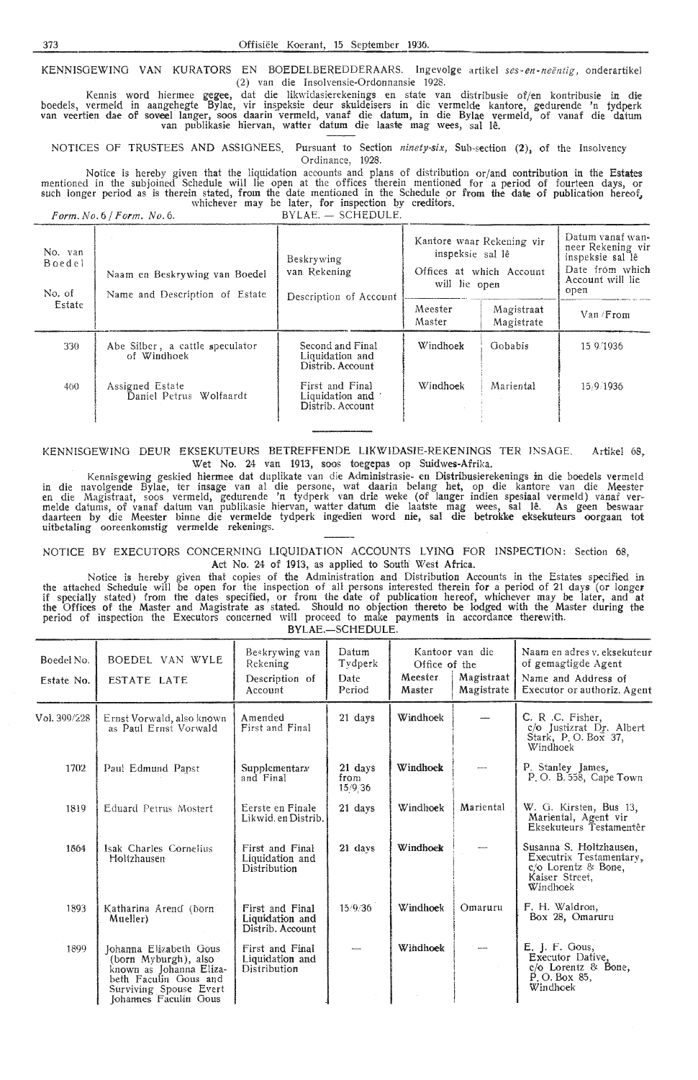KENNISGEWING VAN KURATORS EN BOEDELBEREDDERAARS. Ingevolge artikel ses-en-neëntig, onderartikel (2) van die Insolvensie-Ordonnansie 1928.

Kennis word hiermee gegee, dat die likwidasierekenings en state van distribusie of/en kontribusie in die boedels, vermeld in aangehegte Bylae, vir inspeksie deur skuideisers in die vermelde kantore, gedurende 'n tydperk van veertien dae of soveel langer, soos daarin vermeld, vanaf die datum, in die Bylae vermeld, of vanaf die datum<br>van publikasie hiervan, watter datum die laaste mag wees, sal lê.

NOTICES OF TRUSTEES AND ASSIGNEES. Pursuant to Section *ninety-six,* Sub-section (2), of the Insolvency Ordinance, 1928.

Notice is hereby given that the liquidation accounts and pians of distribution or/and contribution in the Estates mentioned in the subjoined Schedule will lie open at the offices therein mentioned for a period of fourteen days, or such longer period as is therein stated, from the date mentioned in the Schedule or from the date of publication hereof, whichever may be later, for inspection by creditors.

*Form. No. 6 / Form. No. 6.* BYLAE. - SCHEDULE.

| No. van<br>Boedel<br>No. of | Naam en Beskrywing van Boedel<br>Name and Description of Estate | Beskrywing<br>van Rekening<br>Description of Account    | Kantore waar Rekening vir<br>inspeksie sal lê<br>Offices at which Account<br>will lie open | Datum vanaf wan-<br>neer Rekening vir<br>inspeksie sal lê<br>Date from which<br>Account will lie<br>open |           |
|-----------------------------|-----------------------------------------------------------------|---------------------------------------------------------|--------------------------------------------------------------------------------------------|----------------------------------------------------------------------------------------------------------|-----------|
| Estate                      |                                                                 |                                                         | Meester<br>Master                                                                          | Magistraat<br>Magistrate                                                                                 | Van/From  |
| 330                         | Abe Silber, a cattle speculator<br>of Windhoek                  | Second and Final<br>Liquidation and<br>Distrib. Account | Windhoek                                                                                   | Gobabis                                                                                                  | 15.9/1936 |
| 460                         | Assigned Estate<br>Daniel Petrus Wolfaardt                      | First and Final<br>Liquidation and<br>Distrib. Account  | Windhoek                                                                                   | Mariental                                                                                                | 15,9,1936 |

KENNISGEWING DEUR EKSEKUTEURS BETREFFENDE LIKWIDASIE-REKENINGS TER INSAGE. Artikel 68, Wet No. 24 van 1913, soos toegepas op Suidwes-Afrika.

Kennisgewing geskied hiermee dat dupli'kate van die Administrasie- en Distribusierekenings in die boedels vermeld in die navolgende Bylae, ter insage van al die persone, wat daarin belang het, op die kantore van die Meester<br>en die Magistraat, soos vermeld, gedurende 'n tydperk van drie weke (of langer indien spesiaal vermeld) vanaf ve melde datums, of vanaf datum van publikasie hiervan, watter datum die laatste mag wees, sal le. As geen beswaar daarteen by die Meester binne die vermelde tydperk ingedieri word nie, sal die betrokke eksekuteurs oorgaan tot uitbetaling ooreenkomstig vermelde rekenings.

NOTICE BY EXECUTORS CONCERNING LIQUIDATION ACCOUNTS LYING FOR INSPECTION: Section 68, Act No. 24 of 1913, as applied to South West Africa.

Notice is hereby given that copies of the Administration and Distribution Accounts in the Estates specified in the attached Schedule will be open for the inspection of all persons interested therein for a period of 21 days (or longer if specially stated) from the dates specified, or from the date of publication hereof, whichever may be later, and at the Offices of the Master and Magistrate as stated. Should no objection thereto be lodged with the Master during the period of inspection the Executors oonoerned will proceed to make payments in accordance therewith. BYLAE.-SCHEDULE.

| Boedel No.<br>Estate No. | BOEDEL VAN WYLE<br>ESTATE LATE                                                                                                                        | Beskrywing van<br>Rekening<br>Description of<br>Account | Datum<br>Tydperk<br>Date<br>Period | Office of the<br>Meester<br>Master | Kantoor van die<br>Magistraat<br>Magistrate | Naam en adres v. eksekuteur<br>of gemagtigde Agent<br>Name and Address of<br>Executor or authoriz. Agent |
|--------------------------|-------------------------------------------------------------------------------------------------------------------------------------------------------|---------------------------------------------------------|------------------------------------|------------------------------------|---------------------------------------------|----------------------------------------------------------------------------------------------------------|
| Vol. 300/228             | Ernst Vorwald, also known<br>as Paul Ernst Vorwald                                                                                                    | Amended<br>First and Final                              | 21 days                            | Windhoek                           |                                             | C. R.C. Fisher.<br>c/o Justizrat Dr. Albert<br>Stark, P.O. Box 37,<br>Windhoek                           |
| 1702                     | Paul Edmund Papst                                                                                                                                     | Supplementary<br>and Final                              | 21 days<br>from<br>15/9/36         | Windhoek                           |                                             | P. Stanley James,<br>P.O. B. 558, Cape Town                                                              |
| 1819                     | Eduard Petrus Mostert                                                                                                                                 | Eerste en Finale<br>Likwid. en Distrib.                 | 21 days                            | Windhoek                           | Mariental                                   | W. G. Kirsten, Bus 13,<br>Mariental, Agent vir<br>Eksekuteurs Testamentêr                                |
| 1864                     | Isak Charles Cornelius<br>Holtzhausen                                                                                                                 | First and Final<br>Liquidation and<br>Distribution      | 21 days                            | Windhock                           |                                             | Susanna S. Holtzhausen,<br>Executrix Testamentary,<br>c/o Lorentz & Bone,<br>Kaiser Street,<br>Windhoek  |
| 1893                     | Katharina Arend (born<br>Mueller)                                                                                                                     | First and Final<br>Liquidation and<br>Distrib. Account  | 15/9/36                            | Windhoek                           | Omaruru                                     | F. H. Waldron,<br>Box 28, Omaruru                                                                        |
| 1899                     | Johanna Elizabeth Gous<br>(born Myburgh), also<br>known as Johanna Eliza-<br>beth Faculin Gous and<br>Surviving Spouse Evert<br>Johannes Faculin Gous | First and Final<br>Liquidation and<br>Distribution      |                                    | Windhoek                           |                                             | <b>E.</b> J. F. Gous,<br>Executor Dative.<br>$c/o$ Lorentz & Bone,<br>P.O. Box 85,<br>Windhoek           |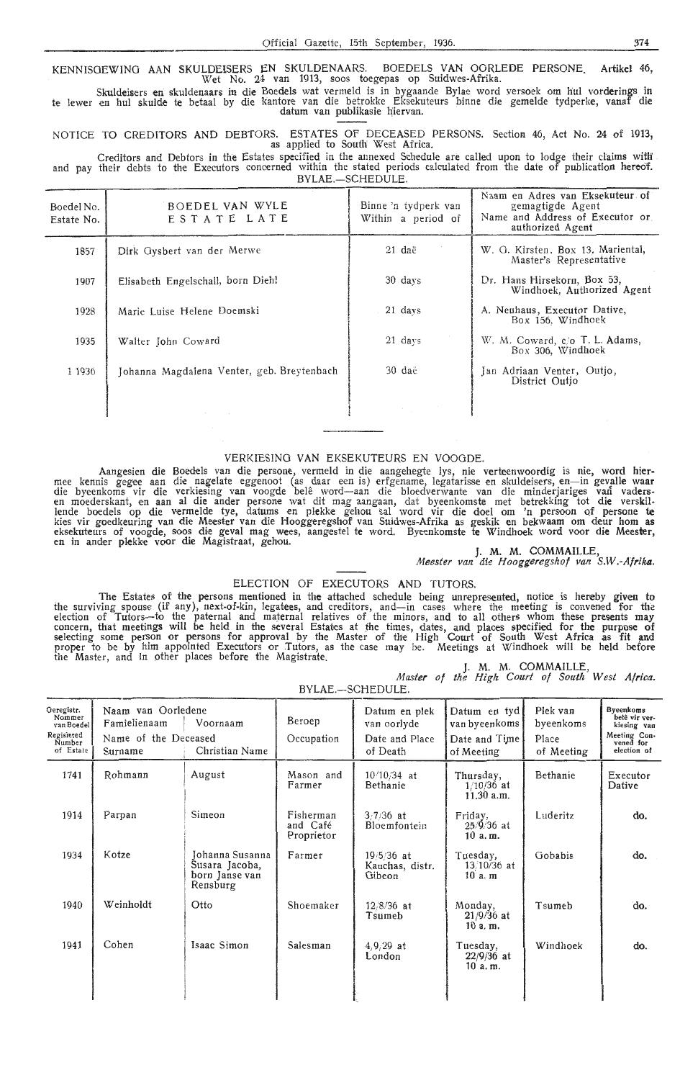KENNISOEWINO AAN SKULDEISERS EN SKULDENAARS. BOEDELS VAN OORLEDE PERSONE. Artikel 46, Wet No. 24 van 1913, soos toegepas op Suidwes-Afrika.

Skuldeisers en skuldenaars in die Boedels wat vermeld is in bygaande Bylae word versoek om hul vorderings in te !ewer en hul skulde te betaal by die k'antore van die betrokke Eksekuteurs binne die gemelde tydperke, vanaf die datum van publikasie hiervan.

NOTICE TO CREDITORS AND DEBTORS. ESTATES OF DECEASED PERSONS. Section 46, Act No. 24 of 1913,

Creditors and Debtors in the Estates specified in the annexed Schedule are called upon to lodge their claims with and pay their debts to the Executors concerned within the stated periods calculated from the date of publication hereof.  $BVIAE$   $SCHENIUE$ 

| Boedel No.<br>Estate No. | BOEDEL VAN WYLE<br>ESTATE LATE             | Binne 'n tydperk van<br>Within a period of | Naam en Adres van Eksekuteur of<br>gemagtigde Agent<br>Name and Address of Executor or<br>authorized Agent |
|--------------------------|--------------------------------------------|--------------------------------------------|------------------------------------------------------------------------------------------------------------|
| 1857                     | Dirk Gysbert van der Merwe                 | $21$ daë                                   | W. G. Kirsten, Box 13, Mariental,<br>Master's Representative                                               |
| 1907                     | Elisabeth Engelschall, born Diehl          | 30 days                                    | Dr. Hans Hirsekorn, Box 53,<br>Windhoek, Authorized Agent                                                  |
| 1928                     | Marie Luise Helene Doemski                 | 21 days                                    | A. Neuhaus, Executor Dative,<br>Box 156, Windhoek                                                          |
| 1935                     | Walter John Coward                         | 21 days                                    | W. M. Coward, c/o T. L. Adams,<br>Box 306, Windhoek                                                        |
| 1 1936                   | Johanna Magdalena Venter, geb. Breytenbach | 30 daë                                     | Jan Adriaan Venter, Outjo,<br>District Outjo                                                               |
|                          |                                            |                                            |                                                                                                            |

# VERKIESINO VAN EKSEKUTEURS EN VOOODE.

Aangesien die Boedels van die persone, vermeld in die aangehegte lys, nie verteenwoordig is nie, word hier-<br>mee kennis gegee aan die nagelate eggenoot (as daar een is) erfgename, legatarisse en skuldeisers, en—in gevalle w lende boedels op die vermelde tye, datums en plekke gehou sal word vir die doe! om 'n persoon Qf persone te kies vir goedkeuring van die Meester van die Hooggeregshof van Suidwes-Afrika as geskik en bekwaam om deur hom as<br>eksekuteurs of voogde, soos die geval mag wees, aangestel te word. Byeenkomste te Windhoek word voor die Mee

J. M. M. COMMAILLE, Meester van die Hooggeregshof van S.W.-Afrika.

# ELECTION OF EXECUTORS AND TUTORS.

The Estates of the persons mentioned in the attached schedule being unrepresented, notice is hereby given to<br>the surviving spouse (if any), next-of-kin, legatees, and creditors, and—in cases where the meeting is convened f concern, that meetings will be held in the several Estates at the times, dates, and places specified for the purpose of selecting some person or persons for approval by the Master of the High Court of South West Africa as fit and proper to be by him appointed Executors or Tutors, as the case may be. Meetings at Windhoek will be held before the Master, and in other places before the Magistrate.

|                                               |  | M. M. COMMAILLE, |  |  |
|-----------------------------------------------|--|------------------|--|--|
| Master of the High Court of South West Africa |  |                  |  |  |

BYLAE COHEDULE

|                                                                         |                                                                       |                                                                 |                                     | $D Y L A L - 3 U L L U U L L.$                             |                                                              |                                              |                                                                                       |
|-------------------------------------------------------------------------|-----------------------------------------------------------------------|-----------------------------------------------------------------|-------------------------------------|------------------------------------------------------------|--------------------------------------------------------------|----------------------------------------------|---------------------------------------------------------------------------------------|
| Geregistr.<br>Nommer<br>van Boedel<br>Regisiered<br>Number<br>of Estate | Naam van Oorledene<br>Famielienaam<br>Name of the Deceased<br>Surname | Voornaam<br>Christian Name                                      | Beroep<br>Occupation                | Datum en plek<br>van oorlyde<br>Date and Place<br>of Death | Datum en tyd<br>van byeenkoms<br>Date and Time<br>of Meeting | Plek van<br>byeenkoms<br>Place<br>of Meeting | Byeenkoms<br>belê vir ver-<br>kiesing van<br>Meeting Con-<br>vened for<br>election of |
| 1741                                                                    | Rohmann                                                               | August                                                          | Mason and<br>Farmer                 | $10/10/34$ at<br>Bethanie                                  | Thursday,<br>$1/10/36$ at<br>$11.30$ a.m.                    | Bethanie                                     | Executor<br>Dative                                                                    |
| 1914                                                                    | Parpan                                                                | Simeon                                                          | Fisherman<br>and Café<br>Proprietor | $3/7/36$ at<br>Bloemfontein                                | Friday,<br>$25/\frac{5}{36}$ at<br>10 a.m.                   | Luderitz                                     | do.                                                                                   |
| 1934                                                                    | Kotze                                                                 | Johanna Susanna<br>Susara Jacoba,<br>born Janse van<br>Rensburg | Farmer                              | $19/5/36$ at<br>Kauchas, distr.<br>Gibeon                  | Tuesday,<br>$13/10/36$ at<br>$10a$ . $m$                     | Gobabis                                      | do.                                                                                   |
| 1940                                                                    | Weinholdt                                                             | Otto                                                            | Shoemaker                           | $12/8/36$ at<br>Tsumeb                                     | Monday,<br>$21/9/36$ at<br>10a.m.                            | Tsumeb                                       | do.                                                                                   |
| 1941                                                                    | Cohen                                                                 | Isaac Simon                                                     | Salesman                            | $4,9,29$ at<br>London                                      | Tuesday,<br>$22/9/36$ at<br>10a.m.                           | Windhoek                                     | do.                                                                                   |